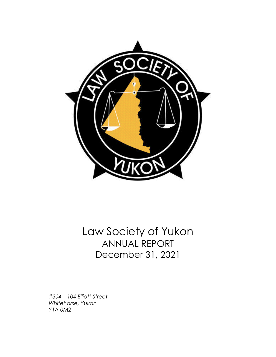

Law Society of Yukon ANNUAL REPORT December 31, 2021

*#304 – 104 Elliott Street Whitehorse, Yukon Y1A 0M2*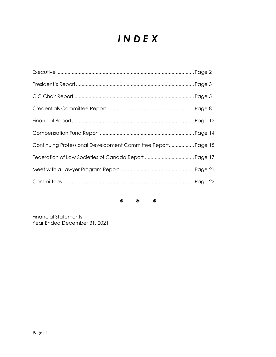# *I N D E X*

| Continuing Professional Development Committee Report Page 15 |  |
|--------------------------------------------------------------|--|
|                                                              |  |
|                                                              |  |
|                                                              |  |
|                                                              |  |

**\* \* \***

Financial Statements Year Ended December 31, 2021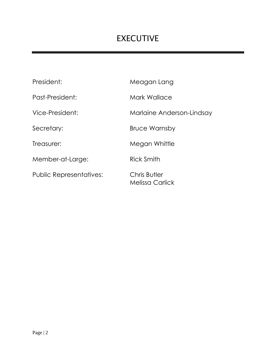# EXECUTIVE

| President:                     | Meagan Lang                            |
|--------------------------------|----------------------------------------|
| Past-President:                | Mark Wallace                           |
| Vice-President:                | Marlaine Anderson-Lindsay              |
| Secretary:                     | <b>Bruce Warnsby</b>                   |
| Treasurer:                     | Megan Whittle                          |
| Member-at-Large:               | Rick Smith                             |
| <b>Public Representatives:</b> | Chris Butler<br><b>Melissa Carlick</b> |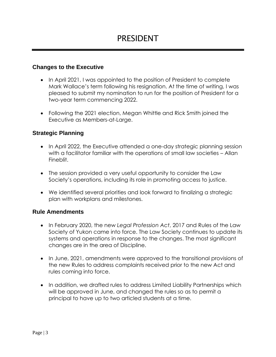# **Changes to the Executive**

- In April 2021, I was appointed to the position of President to complete Mark Wallace's term following his resignation. At the time of writing, I was pleased to submit my nomination to run for the position of President for a two-year term commencing 2022.
- Following the 2021 election, Megan Whittle and Rick Smith joined the Executive as Members-at-Large.

# **Strategic Planning**

- In April 2022, the Executive attended a one-day strategic planning session with a facilitator familiar with the operations of small law societies – Allan Fineblit.
- The session provided a very useful opportunity to consider the Law Society's operations, including its role in promoting access to justice.
- We identified several priorities and look forward to finalizing a strategic plan with workplans and milestones.

# **Rule Amendments**

- In February 2020, the new *Legal Profession Act*, 2017 and Rules of the Law Society of Yukon came into force. The Law Society continues to update its systems and operations in response to the changes. The most significant changes are in the area of Discipline.
- In June, 2021, amendments were approved to the transitional provisions of the new Rules to address complaints received prior to the new Act and rules coming into force.
- In addition, we drafted rules to address Limited Liability Partnerships which will be approved in June, and changed the rules so as to permit a principal to have up to two articled students at a time.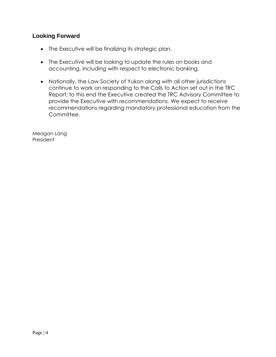# **Looking Forward**

- The Executive will be finalizing its strategic plan.
- The Executive will be looking to update the rules on books and accounting, including with respect to electronic banking.
- Nationally, the Law Society of Yukon along with all other jurisdictions continue to work on responding to the Calls to Action set out in the TRC Report; to this end the Executive created the TRC Advisory Committee to provide the Executive with recommendations. We expect to receive recommendations regarding mandatory professional education from the Committee.

Meagan Lang President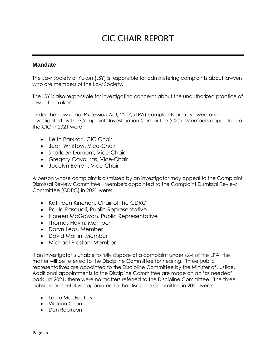# CIC CHAIR REPORT

### **Mandate**

The Law Society of Yukon (LSY) is responsible for administering complaints about lawyers who are members of the Law Society.

The LSY is also responsible for investigating concerns about the unauthorized practice of law in the Yukon.

Under the new *Legal Profession Act, 2017*, (LPA) complaints are reviewed and investigated by the Complaints Investigation Committee (CIC). Members appointed to the CIC in 2021 were:

- Keith Parkkari, CIC Chair
- Jean Whittow, Vice-Chair
- Sharleen Dumont, Vice-Chair
- Gregory Cavouras, Vice-Chair
- Jocelyn Barrett, Vice-Chair

A person whose complaint is dismissed by an investigator may appeal to the Complaint Dismissal Review Committee. Members appointed to the Complaint Dismissal Review Committee (CDRC) in 2021 were:

- Kathleen Kinchen, Chair of the CDRC
- Paula Pasquali, Public Representative
- Noreen McGowan, Public Representative
- Thomas Flavin, Member
- Daryn Leas, Member
- David Martin, Member
- Michael Preston, Member

If an investigator is unable to fully dispose of a complaint under s.64 of the LPA, the matter will be referred to the Discipline Committee for hearing. Three public representatives are appointed to the Discipline Committee by the Minister of Justice. Additional appointments to the Discipline Committee are made on an 'as needed' basis. In 2021, there were no matters referred to the Discipline Committee. The three public representatives appointed to the Discipline Committee in 2021 were:

- Laura MacFeeters
- Victoria Chan
- Dan Robinson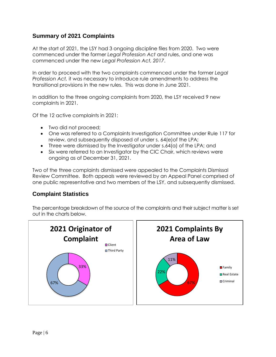# **Summary of 2021 Complaints**

At the start of 2021, the LSY had 3 ongoing discipline files from 2020. Two were commenced under the former *Legal Profession Act* and rules, and one was commenced under the new *Legal Profession Act, 2017*.

In order to proceed with the two complaints commenced under the former *Legal Profession Act,* it was necessary to introduce rule amendments to address the transitional provisions in the new rules. This was done in June 2021.

In addition to the three ongoing complaints from 2020, the LSY received 9 new complaints in 2021.

Of the 12 active complaints in 2021:

- Two did not proceed;
- One was referred to a Complaints Investigation Committee under Rule 117 for review, and subsequently disposed of under s. 64(e)of the LPA;
- Three were dismissed by the Investigator under s.64(a) of the LPA; and
- Six were referred to an Investigator by the CIC Chair, which reviews were ongoing as of December 31, 2021.

Two of the three complaints dismissed were appealed to the Complaints Dismissal Review Committee. Both appeals were reviewed by an Appeal Panel comprised of one public representative and two members of the LSY, and subsequently dismissed.

# **Complaint Statistics**

The percentage breakdown of the source of the complaints and their subject matter is set out in the charts below.

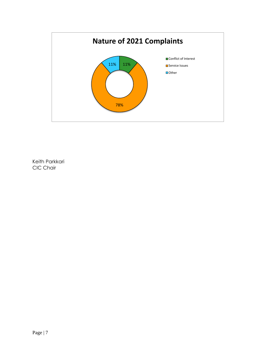

Keith Parkkari CIC Chair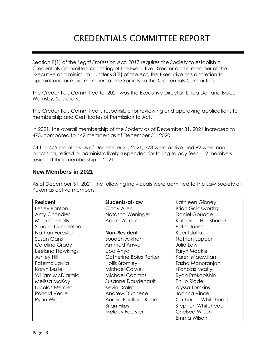# CREDENTIALS COMMITTEE REPORT

Section 8(1) of the *Legal Profession Act, 2017* requires the Society to establish a Credentials Committee consisting of the Executive Director and a member of the Executive at a minimum. Under s.8(2) of the Act, the Executive has discretion to appoint one or more members of the Society to the Credentials Committee.

The Credentials Committee for 2021 was the Executive Director, Linda Doll and Bruce Warnsby, Secretary.

The Credentials Committee is responsible for reviewing and approving applications for membership and Certificates of Permission to Act.

In 2021, the overall membership of the Society as of December 31, 2021 increased to 475, compared to 442 members as of December 31, 2020.

Of the 475 members as of December 31, 2021, 378 were active and 92 were nonpractising, retired or administratively suspended for failing to pay fees. 12 members resigned their membership in 2021.

### **New Members in 2021**

As of December 31, 2021, the following individuals were admitted to the Law Society of Yukon as active members:

| <b>Resident</b>     | Students-at-law        | Kathleen Gibney          |  |
|---------------------|------------------------|--------------------------|--|
| Lesley Banton       | Cindy Allen            | <b>Brian Goldsworthy</b> |  |
| Amy Chandler        | Natasha Weninger       | Daniel Goudge            |  |
| Mina Connelly       | Adam Zarour            | Katherine Hartshorne     |  |
| Simone Dumbleton    |                        | Peter Jones              |  |
| Nathan Forester     | Non-Resident           | Keerit Jutla             |  |
| Susan Gans          | Soudeh Alikhani        | Nathan Lapper            |  |
| Caroline Grady      | Ammad Anwar            | Julia Law                |  |
| Leeland Hawkings    | Uba Anya               | <b>Taryn Mackie</b>      |  |
| Ashley Hill         | Catherine Boies Parker | Karen MacMillan          |  |
| Fatema Javija       | Hollis Bromley         | Tasha Manoranjan         |  |
| Karyn Leslie        | Michael Colwell        | Nicholas Mosky           |  |
| William McDiarmid   | <b>Michael Coombs</b>  | Ryan Prokopishin         |  |
| Melissa McKay       | Susanne Daudenault     | Philip Riddell           |  |
| Nicolas Mercier     | Kevin Drolet           | Alyssa Tomkins           |  |
| <b>Ronald Veale</b> | Andrew Duchene         | Joanna Vince             |  |
| Ryan Wiens          | Aurora Faulkner-Killam | Catherine Whitehead      |  |
|                     | <b>Brian Filips</b>    | Stephen Whitehead        |  |
|                     | <b>Melody Foerster</b> | Chelsea Wilson           |  |
|                     |                        | Emma Wilson              |  |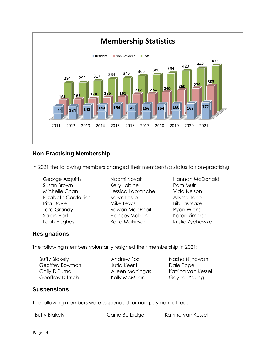

### **Non-Practising Membership**

In 2021 the following members changed their membership status to non-practising:

George Asquith Naomi Kovak Hannah McDonald Susan Brown **Kelly Labine** Pam Muir Michelle Chan Jessica Labranche Vida Nelson Elizabeth Cordonier Karyn Leslie Allyssa Tone Rita Davie **Mike Lewis** Bibhas Vaze Tara Grandy **Rowan MacPhail** Ryan Wiens Sarah Hart **Frances Mahon** Karen Zimmer Leah Hughes **Baird Makinson** Kristie Zychowka

# **Resignations**

The following members voluntarily resigned their membership in 2021:

Buffy Blakely **Andrew Fox** Nasha Nijhawan Geoffrey Bowman Jutla Keerit Dale Pope Caily DiPuma Aileen Maningas Katrina van Kessel Geoffrey Dittrich Kelly McMillan Gaynor Yeung

# **Suspensions**

The following members were suspended for non-payment of fees:

Buffy Blakely **Carrie Burbidge** Katrina van Kessel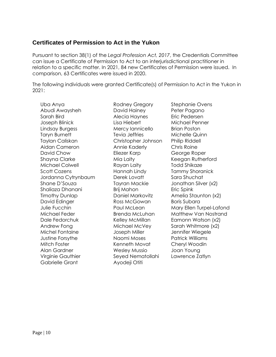# **Certificates of Permission to Act in the Yukon**

Pursuant to section 38(1) of the *Legal Profession Act, 2017*, the Credentials Committee can issue a Certificate of Permission to Act to an interjurisdictional practitioner in relation to a specific matter. In 2021, 84 new Certificates of Permission were issued. In comparison, 63 Certificates were issued in 2020.

The following individuals were granted Certificate(s) of Permission to Act in the Yukon in 2021:

Uba Anya **Rodney Gregory** Stephanie Ovens Abudi Awaysheh David Hainey Peter Pagano Sarah Bird **Alecia Haynes** Eric Pedersen Joseph Blinick Lisa Hiebert Michael Penner Lindsay Burgess Mercy Iannicello Brian Poston Taryn Burnett Tevia Jeffries Michelle Quinn Taylan Caliskan Christopher Johnson Philip Riddell Aidan Cameron Annie Kaderly Chris Roine David Chow **Eliezer Karp** George Roper Shayna Clarke **Mia Laity** Keegan Rutherford **Clarke** Michael Colwell **Rayan Laity** Todd Shikaze Scott Cozens **Example 2** Hannah Lindy Tammy Shoranick Jordanna Cytrynbaum Derek Lovatt Sara Shuchat Shane D'Souza Tayran Mackie Jonathan Silver (x2) Shaliaza Dhanani **Brij Mahon** Eric Spink Timothy Dunlap Daniel Markovitz Amelia Staunton (x2) David Edinger Ross McGowan Boris Subara Dale Fedorchuk Kelley McMillan Eamonn Watson (x2) Andrew Fong The Michael McVey Sarah Whitmore (x2) Michel Fontaine Joseph Miller Jennifer Wiegele Justine Forsythe Naomi Moses Patrick Williams Mitch Foster **Kenneth Movat** Cheryl Woodin Alan Gardner Wesley Mussio Joan Young Virginie Gauthier Seyed Nematollahi Lawrence Zatlyn Gabrielle Grant Ayodeji Otiti

Julie Fucchin Paul McLean Mary Ellen Turpel-Lafond Michael Feder Brenda McLuhan Matthew Van Nostrand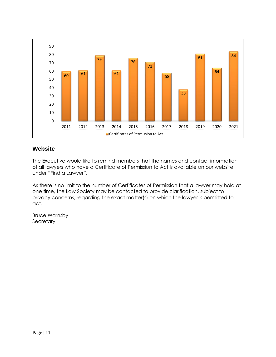

# **Website**

The Executive would like to remind members that the names and contact information of all lawyers who have a Certificate of Permission to Act is available on our website under "Find a Lawyer".

As there is no limit to the number of Certificates of Permission that a lawyer may hold at one time, the Law Society may be contacted to provide clarification, subject to privacy concerns, regarding the exact matter(s) on which the lawyer is permitted to act.

Bruce Warnsby **Secretary**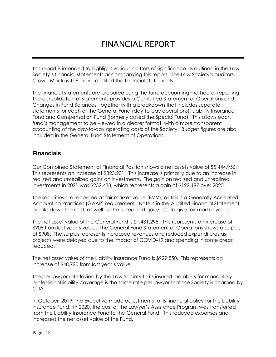# FINANCIAL REPORT

This report is intended to highlight various matters of significance as outlined in the Law Society's financial statements accompanying this report. The Law Society's auditors, Crowe Mackay LLP, have audited the financial statements.

The financial statements are prepared using the fund accounting method of reporting. The consolidation of statements provides a Combined Statement of Operations and Changes in Fund Balances, together with a breakdown that includes separate statements for each of the General Fund (day-to-day operations), Liability Insurance Fund and Compensation Fund (formerly called the Special Fund). This allows each fund's management to be viewed in a clearer format, with a more transparent accounting of the day-to-day operating costs of the Society. Budget figures are also included in the General Fund Statement of Operations.

# **Financials**

Our Combined Statement of Financial Position shows a net assets value of \$5,444,956. This represents an increase of \$323,201. This increase is primarily due to an increase in realized and unrealized gains on investments. The gain on realized and unrealized investments in 2021 was \$232,438, which represents a gain of \$192,197 over 2020.

The securities are recorded at fair market value (FMV), as this is a Generally Accepted Accounting Practices (GAAP) requirement. Note 4 in the Audited Financial Statement breaks down the cost, as well as the unrealized gain/loss, to give fair market value.

The net asset value of the General Fund is \$1,431,295. This represents an increase of \$908 from last year's value. The General Fund Statement of Operations shows a surplus of \$908. The surplus represents increased revenues and reduced expenditures as projects were delayed due to the impact of COVID-19 and spending in some areas reduced.

The net asset value of the Liability Insurance Fund is \$929,850. This represents an increase of \$48,720 from last year's value.

The per lawyer rate levied by the Law Society to its insured members for mandatory professional liability coverage is the same rate per lawyer that the Society is charged by CLIA.

In October, 2019, the Executive made adjustments to its financial policy for the Liability Insurance Fund. In 2020, the cost of the Lawyer's Assistance Program was transferred from the Liability Insurance Fund to the General Fund. This reduced expenses and increased the net asset value of the Fund.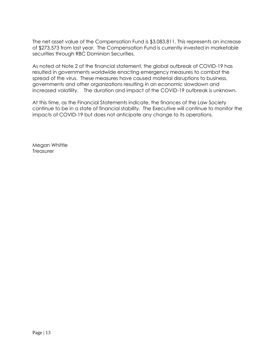The net asset value of the Compensation Fund is \$3,083,811. This represents an increase of \$273,573 from last year. The Compensation Fund is currently invested in marketable securities through RBC Dominion Securities.

As noted at Note 2 of the financial statement, the global outbreak of COVID-19 has resulted in governments worldwide enacting emergency measures to combat the spread of the virus. These measures have caused material disruptions to business, governments and other organizations resulting in an economic slowdown and increased volatility. The duration and impact of the COVID-19 outbreak is unknown.

At this time, as the Financial Statements indicate, the finances of the Law Society continue to be in a state of financial stability. The Executive will continue to monitor the impacts of COVID-19 but does not anticipate any change to its operations.

Megan Whittle **Treasurer**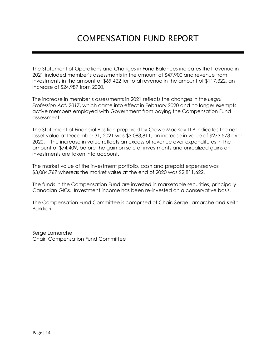The Statement of Operations and Changes in Fund Balances indicates that revenue in 2021 included member's assessments in the amount of \$47,900 and revenue from investments in the amount of \$69,422 for total revenue in the amount of \$117,322, an increase of \$24,987 from 2020.

The increase in member's assessments in 2021 reflects the changes in the *Legal Profession Act, 2017*, which came into effect in February 2020 and no longer exempts active members employed with Government from paying the Compensation Fund assessment.

The Statement of Financial Position prepared by Crowe MacKay LLP indicates the net asset value at December 31, 2021 was \$3,083,811, an increase in value of \$273,573 over 2020. The increase in value reflects an excess of revenue over expenditures in the amount of \$74,409, before the gain on sale of investments and unrealized gains on investments are taken into account.

The market value of the investment portfolio, cash and prepaid expenses was \$3,084,767 whereas the market value at the end of 2020 was \$2,811,622.

The funds in the Compensation Fund are invested in marketable securities, principally Canadian GICs. Investment income has been re-invested on a conservative basis.

The Compensation Fund Committee is comprised of Chair, Serge Lamarche and Keith Parkkari.

Serge Lamarche Chair, Compensation Fund Committee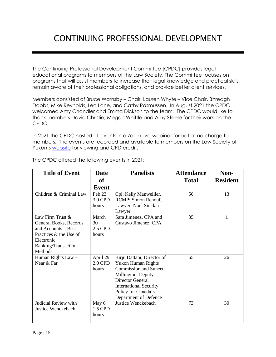# CONTINUING PROFESSIONAL DEVELOPMENT

The Continuing Professional Development Committee [CPDC] provides legal educational programs to members of the Law Society. The Committee focuses on programs that will assist members to increase their legal knowledge and practical skills, remain aware of their professional obligations, and provide better client services.

Members consisted of Bruce Warnsby – Chair, Lauren Whyte – Vice Chair, Bhreagh Dabbs, Mike Reynolds, Leo Lane, and Cathy Rasmussen. In August 2021 the CPDC welcomed Amy Chandler and Emma Dickson to the team. The CPDC would like to thank members David Christie, Megan Whittle and Amy Steele for their work on the CPDC.

In 2021 the CPDC hosted 11 events in a Zoom live-webinar format at no charge to members. The events are recorded and available to members on the Law Society of Yukon's [website](https://lawsocietyyukon.com/for-the-lawyer/continuing-professional-development/cpd-events/) for viewing and CPD credit.

| <b>Title of Event</b>   | <b>Date</b> | <b>Panelists</b>              | <b>Attendance</b> | Non-            |
|-------------------------|-------------|-------------------------------|-------------------|-----------------|
|                         | <b>of</b>   |                               | <b>Total</b>      | <b>Resident</b> |
|                         | Event       |                               |                   |                 |
| Children & Criminal Law | Feb 23      | Cpl. Kelly Manweiller,        | 56                | 13              |
|                         | 3.0 CPD     | RCMP; Simon Renouf,           |                   |                 |
|                         | hours       | Lawyer; Noel Sinclair,        |                   |                 |
|                         |             | Lawyer                        |                   |                 |
| Law Firm Trust &        | March       | Sara Jimenez, CPA and         | 35                | 1               |
| General Books, Records  | 30          | Gustavo Jimenez, CPA          |                   |                 |
| and Accounts – Best     | 2.5 CPD     |                               |                   |                 |
| Practices & the Use of  | hours       |                               |                   |                 |
| Electronic              |             |                               |                   |                 |
| Banking/Transaction     |             |                               |                   |                 |
| Methods                 |             |                               |                   |                 |
| Human Rights Law -      | April 29    | Birju Dattani, Director of    | 65                | 26              |
| Near & Far              | 2.0 CPD     | <b>Yukon Human Rights</b>     |                   |                 |
|                         | hours       | <b>Commission and Suneeta</b> |                   |                 |
|                         |             | Millington, Deputy            |                   |                 |
|                         |             | <b>Director General</b>       |                   |                 |
|                         |             | <b>International Security</b> |                   |                 |
|                         |             | Policy for Canada's           |                   |                 |
|                         |             | Department of Defence         |                   |                 |
| Judicial Review with    | May 6       | Justice Wenckebach            | 73                | 30              |
| Justice Wenckebach      | 1.5 CPD     |                               |                   |                 |
|                         | hours       |                               |                   |                 |
|                         |             |                               |                   |                 |

The CPDC offered the following events in 2021: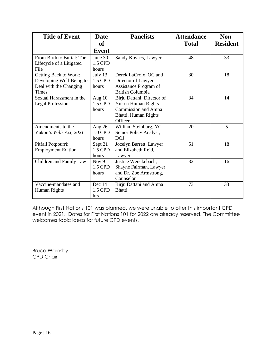| <b>Title of Event</b>     | <b>Date</b>  | <b>Panelists</b>           | <b>Attendance</b> | Non-            |
|---------------------------|--------------|----------------------------|-------------------|-----------------|
|                           | <b>of</b>    |                            | <b>Total</b>      | <b>Resident</b> |
|                           | <b>Event</b> |                            |                   |                 |
| From Birth to Burial: The | June 30      | Sandy Kovacs, Lawyer       | 48                | 33              |
| Lifecycle of a Litigated  | 1.5 CPD      |                            |                   |                 |
| File                      | hours        |                            |                   |                 |
| Getting Back to Work:     | July $13$    | Derek LaCroix, QC and      | 30                | 18              |
| Developing Well-Being to  | 1.5 CPD      | Director of Lawyers        |                   |                 |
| Deal with the Changing    | hours        | Assistance Program of      |                   |                 |
| <b>Times</b>              |              | <b>British Columbia</b>    |                   |                 |
| Sexual Harassment in the  | Aug 10       | Birju Dattani, Director of | 34                | 14              |
| <b>Legal Profession</b>   | 1.5 CPD      | <b>Yukon Human Rights</b>  |                   |                 |
|                           | hours        | Commission and Amna        |                   |                 |
|                           |              | Bhatti, Human Rights       |                   |                 |
|                           |              | Officer                    |                   |                 |
| Amendments to the         | Aug 26       | William Steinburg, YG      | 20                | 5               |
| Yukon's Wills Act, 2021   | 1.0 CPD      | Senior Policy Analyst,     |                   |                 |
|                           | hours        | <b>DOJ</b>                 |                   |                 |
| Pitfall Potpourri:        | Sept 21      | Jocelyn Barrett, Lawyer    | 51                | 18              |
| <b>Employment Edition</b> | 1.5 CPD      | and Elizabeth Reid,        |                   |                 |
|                           | hours        | Lawyer                     |                   |                 |
| Children and Family Law   | Nov 9        | Justice Wenckebach;        | 32                | 16              |
|                           | 1.5 CPD      | Shayne Fairman, Lawyer     |                   |                 |
|                           | hours        | and Dr. Zoe Armstrong,     |                   |                 |
|                           |              | Counselor                  |                   |                 |
| Vaccine-mandates and      | Dec 14       | Birju Dattani and Amna     | 73                | 33              |
| Human Rights              | 1.5 CPD      | <b>Bhatti</b>              |                   |                 |
|                           | hrs          |                            |                   |                 |

Although First Nations 101 was planned, we were unable to offer this important CPD event in 2021. Dates for First Nations 101 for 2022 are already reserved. The Committee welcomes topic ideas for future CPD events.

Bruce Warnsby CPD Chair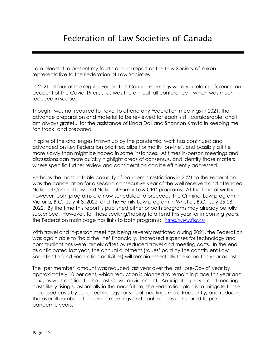I am pleased to present my fourth annual report as the Law Society of Yukon representative to the Federation of Law Societies.

In 2021 all four of the regular Federation Council meetings were via tele-conference on account of the Covid-19 crisis, as was the annual fall conference – which was much reduced in scope.

Though I was not required to travel to attend any Federation meetings in 2021, the advance preparation and material to be reviewed for each is still considerable, and I am always grateful for the assistance of Linda Doll and Shannon Kmyta in keeping me 'on track' and prepared.

In spite of the challenges thrown up by the pandemic, work has continued and advanced on key Federation priorities, albeit primarily 'on-line', and possibly a little more slowly than might be hoped in some instances. At times in-person meetings and discussions can more quickly highlight areas of consensus, and identify those matters where specific further review and consideration can be efficiently addressed.

Perhaps the most notable casualty of pandemic restrictions in 2021 to the Federation was the cancellation for a second consecutive year of the well received and attended National Criminal Law and National Family Law CPD programs. At the time of writing however, both programs are now scheduled to proceed: the Criminal Law program in Victoria, B.C., July 4-8, 2022, and the Family Law program in Whistler, B.C., July 25-28, 2022. By the time this report is published either or both programs may already be fully subscribed. However, for those seeking/hoping to attend this year, or in coming years, the Federation main page has links to both programs: <https://www.flsc.ca/>

With travel and in-person meetings being severely restricted during 2021, the Federation was again able to 'hold the line' financially. Increased expenses for technology and communications were largely offset by reduced travel and meeting costs. In the end, as anticipated last year, the annual allotment ('dues' paid by the constituent Law Societies to fund Federation activities) will remain essentially the same this year as last.

The 'per member' amount was reduced last year over the last 'pre-Covid' year by approximately 10 per cent, which reduction is planned to remain in place this year and next, as we transition to the post-Covid environment. Anticipating travel and meeting costs likely rising substantially in the near future, the Federation plan is to mitigate those increased costs by using technology for virtual meetings more frequently, and reducing the overall number of in-person meetings and conferences compared to prepandemic years.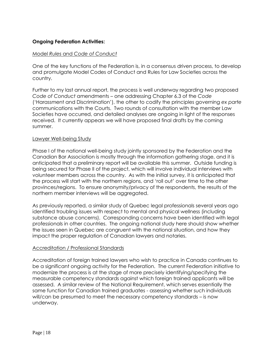### **Ongoing Federation Activities:**

#### Model *Rules* and *Code of Conduct*

One of the key functions of the Federation is, in a consensus driven process, to develop and promulgate Model Codes of Conduct and Rules for Law Societies across the country.

Further to my last annual report, the process is well underway regarding two proposed *Code of Conduct* amendments – one addressing Chapter 6.3 of the *Code*  ('Harassment and Discrimination'), the other to codify the principles governing *ex parte* communications with the Courts. Two rounds of consultation with the member Law Societies have occurred, and detailed analyses are ongoing in light of the responses received. It currently appears we will have proposed final drafts by the coming summer.

#### Lawyer Well-being Study

Phase I of the national well-being study jointly sponsored by the Federation and the Canadian Bar Association is mostly through the information gathering stage, and it is anticipated that a preliminary report will be available this summer. Outside funding is being secured for Phase II of the project, which will involve individual interviews with volunteer members across the country. As with the initial survey, it is anticipated that the process will start with the northern regions, and 'roll out' over time to the other provinces/regions. To ensure anonymity/privacy of the respondents, the results of the northern member interviews will be aggregated.

As previously reported, a similar study of Quebec legal professionals several years ago identified troubling issues with respect to mental and physical wellness (including substance abuse concerns). Corresponding concerns have been identified with legal professionals in other countries. The ongoing national study here should show whether the issues seen in Quebec are congruent with the national situation, and how they impact the proper regulation of Canadian lawyers and notaries.

#### Accreditation / Professional Standards

Accreditation of foreign trained lawyers who wish to practice in Canada continues to be a significant ongoing activity for the Federation. The current Federation initiative to modernize the process is at the stage of more precisely identifying/specifying the measurable competency standards against which foreign trained applicants will be assessed. A similar review of the National Requirement, which serves essentially the same function for Canadian trained graduates - assessing whether such individuals will/can be presumed to meet the necessary competency standards – is now underway.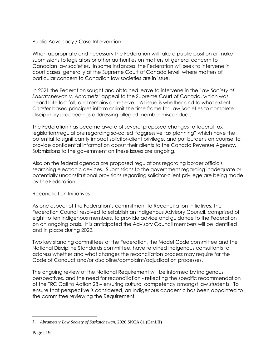# Public Advocacy / Case Intervention

When appropriate and necessary the Federation will take a public position or make submissions to legislators or other authorities on matters of general concern to Canadian law societies. In some instances, the Federation will seek to intervene in court cases, generally at the Supreme Court of Canada level, where matters of particular concern to Canadian law societies are in issue.

In 2021 the Federation sought and obtained leave to intervene in the *Law Society of Saskatchewan v. Abrametz<sup>1</sup>* appeal to the Supreme Court of Canada, which was heard late last fall, and remains on reserve. At issue is whether and to what extent *Charter* based principles inform or limit the time frame for Law Societies to complete disciplinary proceedings addressing alleged member misconduct.

The Federation has become aware of several proposed changes to federal tax legislation/regulations regarding so-called "aggressive tax planning" which have the potential to significantly impact solicitor-client privilege, and put burdens on counsel to provide confidential information about their clients to the Canada Revenue Agency. Submissions to the government on these issues are ongoing.

Also on the federal agenda are proposed regulations regarding border officials searching electronic devices. Submissions to the government regarding inadequate or potentially unconstitutional provisions regarding solicitor-client privilege are being made by the Federation.

### Reconciliation Initiatives

As one aspect of the Federation's commitment to Reconciliation Initiatives, the Federation Council resolved to establish an Indigenous Advisory Council, comprised of eight to ten indigenous members, to provide advice and guidance to the Federation on an ongoing basis. It is anticipated the Advisory Council members will be identified and in place during 2022.

Two key standing committees of the Federation, the Model Code committee and the National Discipline Standards committee, have retained indigenous consultants to address whether and what changes the reconciliation process may require for the Code of Conduct and/or discipline/complaint/adjudication processes.

The ongoing review of the National Requirement will be informed by indigenous perspectives, and the need for reconciliation - reflecting the specific recommendation of the TRC Call to Action 28 – ensuring cultural competency amongst law students. To ensure that perspective is considered, an Indigenous academic has been appointed to the committee reviewing the Requirement.

<sup>1</sup> *Abrametz* v *Law Society of Saskatchewan*, 2020 SKCA 81 (CanLII)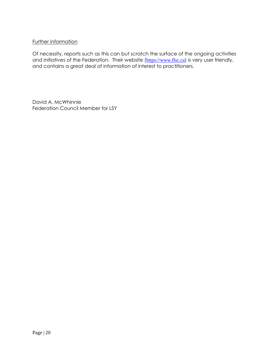#### Further information

Of necessity, reports such as this can but scratch the surface of the ongoing activities and initiatives of the Federation. Their website ([https://www.flsc.ca](http://www.flsc.ca/)) is very user friendly, and contains a great deal of information of interest to practitioners.

David A. McWhinnie Federation Council Member for LSY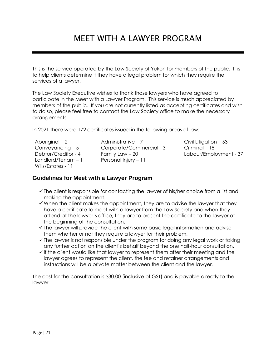# MEET WITH A LAWYER PROGRAM

This is the service operated by the Law Society of Yukon for members of the public. It is to help clients determine if they have a legal problem for which they require the services of a lawyer.

The Law Society Executive wishes to thank those lawyers who have agreed to participate in the Meet with a Lawyer Program. This service is much appreciated by members of the public. If you are not currently listed as accepting certificates and wish to do so, please feel free to contact the Law Society office to make the necessary arrangements.

In 2021 there were 172 certificates issued in the following areas of law:

Landlord/Tenant – 1 Personal Injury – 11 Wills/Estates - 11

Aboriginal – 2 Administrative – 7 Civil Litigation – 53 Conveyancing – 5 Corporate/Commercial - 3 Criminal – 18 Debtor/Creditor - 4 Family Law – 20 Labour/Employment - 37

### **Guidelines for Meet with a Lawyer Program**

- $\checkmark$  The client is responsible for contacting the lawyer of his/her choice from a list and making the appointment.
- $\checkmark$  When the client makes the appointment, they are to advise the lawyer that they have a certificate to meet with a lawyer from the Law Society and when they attend at the lawyer's office, they are to present the certificate to the lawyer at the beginning of the consultation.
- ✓ The lawyer will provide the client with some basic legal information and advise them whether or not they require a lawyer for their problem.
- $\checkmark$  The lawyer is not responsible under the program for doing any legal work or taking any further action on the client's behalf beyond the one half-hour consultation.
- ✓ If the client would like that lawyer to represent them after their meeting and the lawyer agrees to represent the client, the fee and retainer arrangements and instructions will be a private matter between the client and the lawyer.

The cost for the consultation is \$30.00 (inclusive of GST) and is payable directly to the lawyer.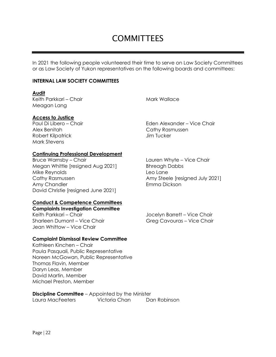# **COMMITTEES**

In 2021 the following people volunteered their time to serve on Law Society Committees or as Law Society of Yukon representatives on the following boards and committees:

#### **INTERNAL LAW SOCIETY COMMITTEES**

#### **Audit**

Keith Parkkari – Chair Mark Wallace Meagan Lang

#### **Access to Justice**

Alex Benitah Cathy Rasmussen Robert Kilpatrick **Guide Communist Communist Communist Communist Communist Communist Communist Communist Communist Communist Communist Communist Communist Communist Communist Communist Communist Communist Communist Communi** Mark Stevens

Paul Di Libero – Chair Eden Alexander – Vice Chair

#### **Continuing Professional Development**

Bruce Warnsby – Chair **Lauren Whyte – Vice Chair** Lauren Whyte – Vice Chair Megan Whittle [resigned Aug 2021] Bhreagh Dabbs Mike Reynolds and Leo Lane Cathy Rasmussen **Amy Steele [resigned July 2021]** Amy Chandler **Emma Dickson** David Christie [resigned June 2021]

#### **Conduct & Competence Committees**

**Complaints Investigation Committee** Keith Parkkari – Chair **Vice Chair** Jocelyn Barrett – Vice Chair Sharleen Dumont – Vice Chair Greg Cavouras – Vice Chair Jean Whittow – Vice Chair

#### **Complaint Dismissal Review Committee**

Kathleen Kinchen – Chair Paula Pasquali, Public Representative Noreen McGowan, Public Representative Thomas Flavin, Member Daryn Leas, Member David Martin, Member Michael Preston, Member

**Discipline Committee** – Appointed by the Minister Laura MacFeeters Victoria Chan Dan Robinson